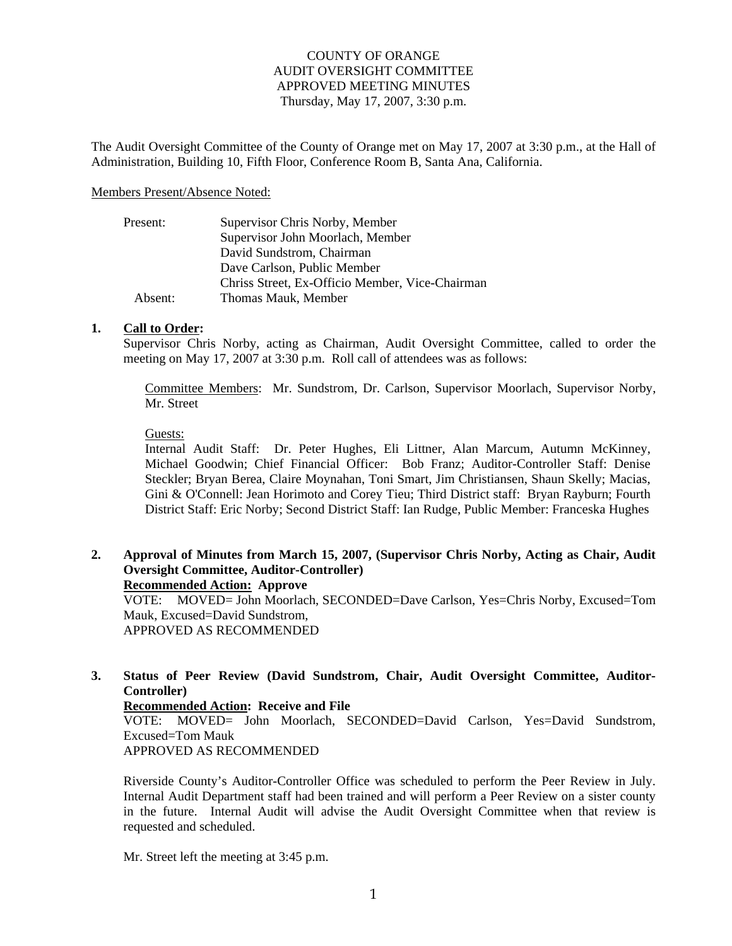## COUNTY OF ORANGE AUDIT OVERSIGHT COMMITTEE APPROVED MEETING MINUTES Thursday, May 17, 2007, 3:30 p.m.

The Audit Oversight Committee of the County of Orange met on May 17, 2007 at 3:30 p.m., at the Hall of Administration, Building 10, Fifth Floor, Conference Room B, Santa Ana, California.

#### Members Present/Absence Noted:

| Present: | Supervisor Chris Norby, Member                  |
|----------|-------------------------------------------------|
|          | Supervisor John Moorlach, Member                |
|          | David Sundstrom, Chairman                       |
|          | Dave Carlson, Public Member                     |
|          | Chriss Street, Ex-Officio Member, Vice-Chairman |
| Absent:  | Thomas Mauk, Member                             |

### **1. Call to Order:**

Supervisor Chris Norby, acting as Chairman, Audit Oversight Committee, called to order the meeting on May 17, 2007 at 3:30 p.m. Roll call of attendees was as follows:

Committee Members: Mr. Sundstrom, Dr. Carlson, Supervisor Moorlach, Supervisor Norby, Mr. Street

### Guests:

Internal Audit Staff: Dr. Peter Hughes, Eli Littner, Alan Marcum, Autumn McKinney, Michael Goodwin; Chief Financial Officer: Bob Franz; Auditor-Controller Staff: Denise Steckler; Bryan Berea, Claire Moynahan, Toni Smart, Jim Christiansen, Shaun Skelly; Macias, Gini & O'Connell: Jean Horimoto and Corey Tieu; Third District staff: Bryan Rayburn; Fourth District Staff: Eric Norby; Second District Staff: Ian Rudge, Public Member: Franceska Hughes

### **2. Approval of Minutes from March 15, 2007, (Supervisor Chris Norby, Acting as Chair, Audit Oversight Committee, Auditor-Controller) Recommended Action: Approve**

VOTE: MOVED= John Moorlach, SECONDED=Dave Carlson, Yes=Chris Norby, Excused=Tom Mauk, Excused=David Sundstrom, APPROVED AS RECOMMENDED

## **3. Status of Peer Review (David Sundstrom, Chair, Audit Oversight Committee, Auditor-Controller)**

### **Recommended Action: Receive and File**

VOTE: MOVED= John Moorlach, SECONDED=David Carlson, Yes=David Sundstrom, Excused=Tom Mauk

APPROVED AS RECOMMENDED

Riverside County's Auditor-Controller Office was scheduled to perform the Peer Review in July. Internal Audit Department staff had been trained and will perform a Peer Review on a sister county in the future. Internal Audit will advise the Audit Oversight Committee when that review is requested and scheduled.

Mr. Street left the meeting at 3:45 p.m.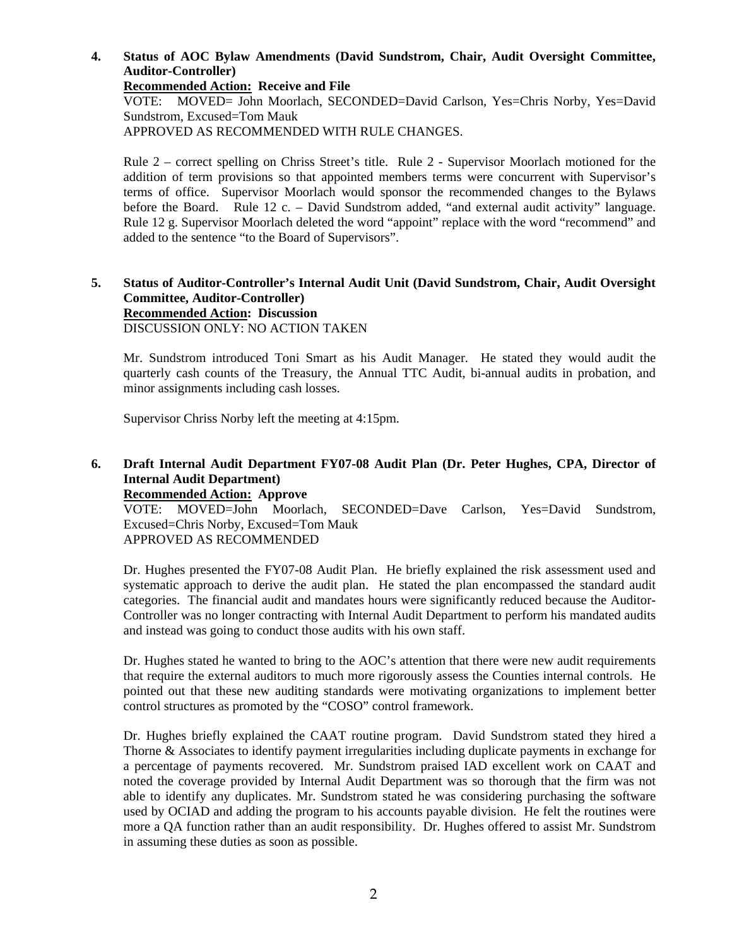**4. Status of AOC Bylaw Amendments (David Sundstrom, Chair, Audit Oversight Committee, Auditor-Controller)** 

**Recommended Action: Receive and File** 

VOTE: MOVED= John Moorlach, SECONDED=David Carlson, Yes=Chris Norby, Yes=David Sundstrom, Excused=Tom Mauk APPROVED AS RECOMMENDED WITH RULE CHANGES.

Rule 2 – correct spelling on Chriss Street's title. Rule 2 - Supervisor Moorlach motioned for the addition of term provisions so that appointed members terms were concurrent with Supervisor's terms of office. Supervisor Moorlach would sponsor the recommended changes to the Bylaws before the Board. Rule 12 c. – David Sundstrom added, "and external audit activity" language. Rule 12 g. Supervisor Moorlach deleted the word "appoint" replace with the word "recommend" and added to the sentence "to the Board of Supervisors".

# **5. Status of Auditor-Controller's Internal Audit Unit (David Sundstrom, Chair, Audit Oversight Committee, Auditor-Controller) Recommended Action: Discussion**

DISCUSSION ONLY: NO ACTION TAKEN

Mr. Sundstrom introduced Toni Smart as his Audit Manager. He stated they would audit the quarterly cash counts of the Treasury, the Annual TTC Audit, bi-annual audits in probation, and minor assignments including cash losses.

Supervisor Chriss Norby left the meeting at 4:15pm.

## **6. Draft Internal Audit Department FY07-08 Audit Plan (Dr. Peter Hughes, CPA, Director of Internal Audit Department)**

**Recommended Action: Approve** 

VOTE: MOVED=John Moorlach, SECONDED=Dave Carlson, Yes=David Sundstrom, Excused=Chris Norby, Excused=Tom Mauk APPROVED AS RECOMMENDED

Dr. Hughes presented the FY07-08 Audit Plan. He briefly explained the risk assessment used and systematic approach to derive the audit plan. He stated the plan encompassed the standard audit categories. The financial audit and mandates hours were significantly reduced because the Auditor-Controller was no longer contracting with Internal Audit Department to perform his mandated audits and instead was going to conduct those audits with his own staff.

Dr. Hughes stated he wanted to bring to the AOC's attention that there were new audit requirements that require the external auditors to much more rigorously assess the Counties internal controls. He pointed out that these new auditing standards were motivating organizations to implement better control structures as promoted by the "COSO" control framework.

Dr. Hughes briefly explained the CAAT routine program. David Sundstrom stated they hired a Thorne & Associates to identify payment irregularities including duplicate payments in exchange for a percentage of payments recovered. Mr. Sundstrom praised IAD excellent work on CAAT and noted the coverage provided by Internal Audit Department was so thorough that the firm was not able to identify any duplicates. Mr. Sundstrom stated he was considering purchasing the software used by OCIAD and adding the program to his accounts payable division. He felt the routines were more a QA function rather than an audit responsibility. Dr. Hughes offered to assist Mr. Sundstrom in assuming these duties as soon as possible.